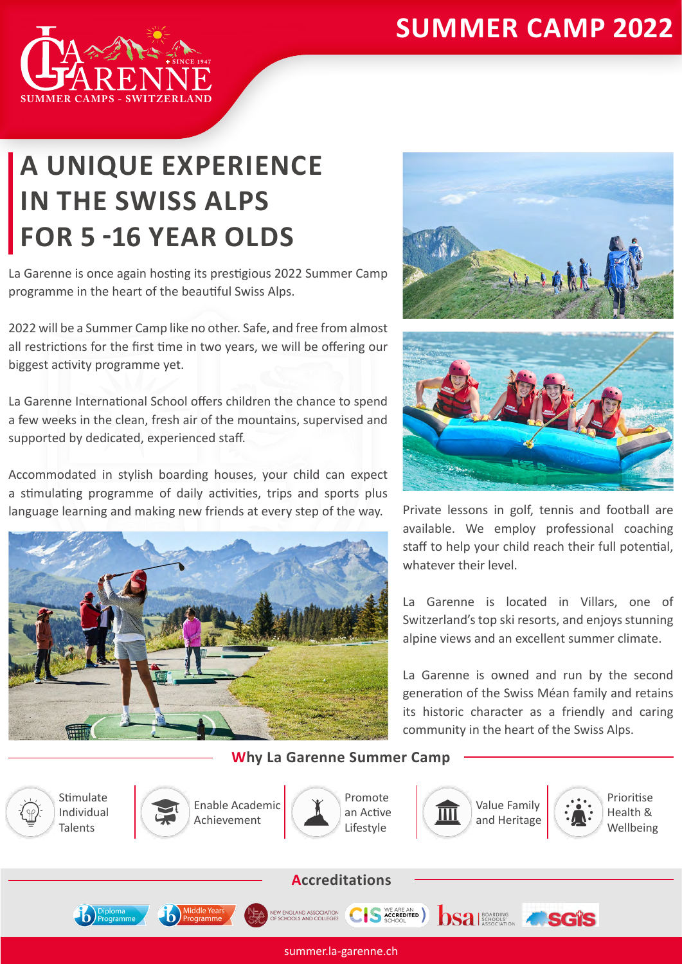## **SUMMER CAMP 2022**



## **A UNIQUE EXPERIENCE IN THE SWISS ALPS FOR 5 -16 YEAR OLDS**

La Garenne is once again hosting its prestigious 2022 Summer Camp programme in the heart of the beautiful Swiss Alps.

2022 will be a Summer Camp like no other. Safe, and free from almost all restrictions for the first time in two years, we will be offering our biggest activity programme yet.

La Garenne International School offers children the chance to spend a few weeks in the clean, fresh air of the mountains, supervised and supported by dedicated, experienced staff.

Accommodated in stylish boarding houses, your child can expect a stimulating programme of daily activities, trips and sports plus language learning and making new friends at every step of the way.







Private lessons in golf, tennis and football are available. We employ professional coaching staff to help your child reach their full potential, whatever their level

La Garenne is located in Villars, one of Switzerland's top ski resorts, and enjoys stunning alpine views and an excellent summer climate.

La Garenne is owned and run by the second generation of the Swiss Méan family and retains its historic character as a friendly and caring community in the heart of the Swiss Alps.

**Why La Garenne Summer Camp**



summer.la-garenne.ch